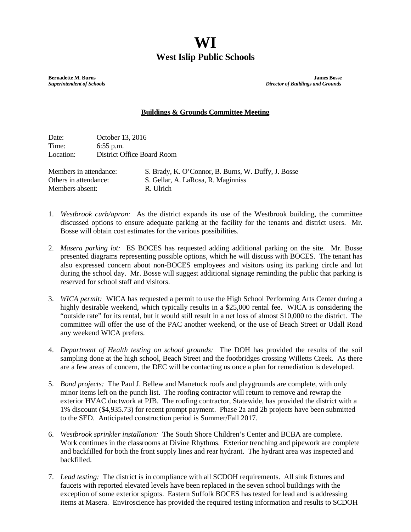## **WI West Islip Public Schools**

**Bernadette M. Burns James Bosse**<br> **Burns Bosse Superintendent of Schools**<br> **Burns Bosse Superintendent of Schools** *Superintendent of Schools**Director of Buildings and Grounds*

## **Buildings & Grounds Committee Meeting**

Date: October 13, 2016 Time: 6:55 p.m. Location: District Office Board Room

Members absent: R. Ulrich

Members in attendance: S. Brady, K. O'Connor, B. Burns, W. Duffy, J. Bosse Others in attendance: S. Gellar, A. LaRosa, R. Maginniss

- 1. *Westbrook curb/apron:* As the district expands its use of the Westbrook building, the committee discussed options to ensure adequate parking at the facility for the tenants and district users. Mr. Bosse will obtain cost estimates for the various possibilities.
- 2. *Masera parking lot:* ES BOCES has requested adding additional parking on the site. Mr. Bosse presented diagrams representing possible options, which he will discuss with BOCES. The tenant has also expressed concern about non-BOCES employees and visitors using its parking circle and lot during the school day. Mr. Bosse will suggest additional signage reminding the public that parking is reserved for school staff and visitors.
- 3. *WICA permit:* WICA has requested a permit to use the High School Performing Arts Center during a highly desirable weekend, which typically results in a \$25,000 rental fee. WICA is considering the "outside rate" for its rental, but it would still result in a net loss of almost \$10,000 to the district. The committee will offer the use of the PAC another weekend, or the use of Beach Street or Udall Road any weekend WICA prefers.
- 4. *Department of Health testing on school grounds:* The DOH has provided the results of the soil sampling done at the high school, Beach Street and the footbridges crossing Willetts Creek. As there are a few areas of concern, the DEC will be contacting us once a plan for remediation is developed.
- 5. *Bond projects:* The Paul J. Bellew and Manetuck roofs and playgrounds are complete, with only minor items left on the punch list. The roofing contractor will return to remove and rewrap the exterior HVAC ductwork at PJB. The roofing contractor, Statewide, has provided the district with a 1% discount (\$4,935.73) for recent prompt payment. Phase 2a and 2b projects have been submitted to the SED. Anticipated construction period is Summer/Fall 2017.
- 6. *Westbrook sprinkler installation:* The South Shore Children's Center and BCBA are complete. Work continues in the classrooms at Divine Rhythms. Exterior trenching and pipework are complete and backfilled for both the front supply lines and rear hydrant. The hydrant area was inspected and backfilled.
- 7. *Lead testing:* The district is in compliance with all SCDOH requirements. All sink fixtures and faucets with reported elevated levels have been replaced in the seven school buildings with the exception of some exterior spigots. Eastern Suffolk BOCES has tested for lead and is addressing items at Masera. Enviroscience has provided the required testing information and results to SCDOH